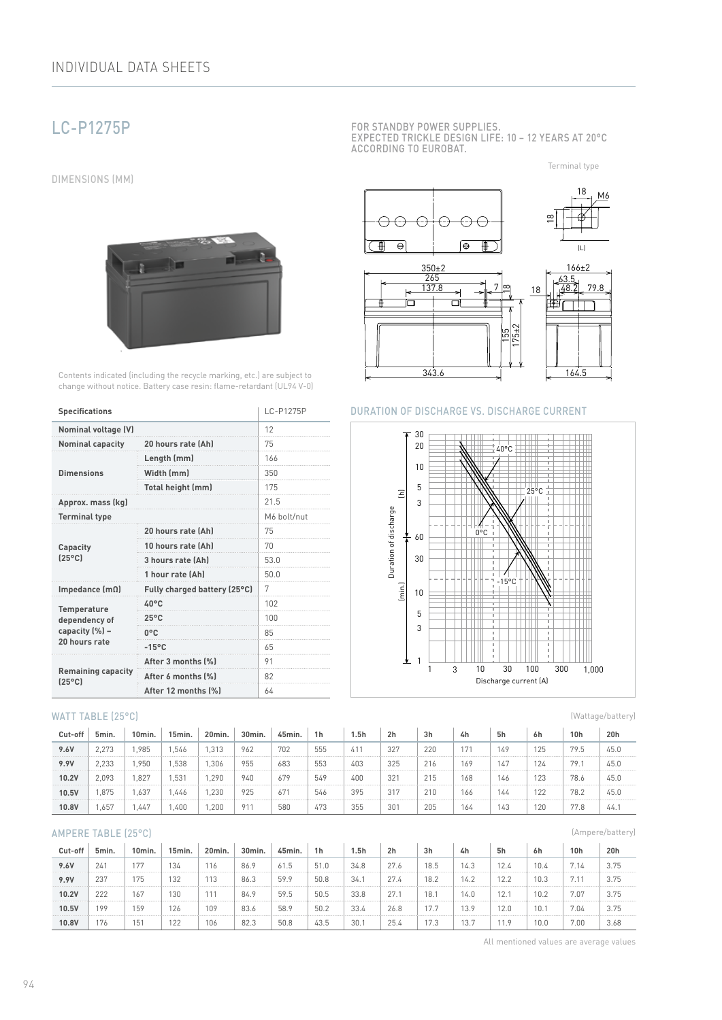# LC-P1275P

DIMENSIONS (MM)



Contents indicated (including the recycle marking, etc.) are subject to change without notice. Battery case resin: flame-retardant (UL94 V-0)

| <b>Specifications</b>                        | LC-P1275P                    |      |  |  |  |
|----------------------------------------------|------------------------------|------|--|--|--|
| <b>Nominal voltage (V)</b>                   | 12                           |      |  |  |  |
| <b>Nominal capacity</b>                      | 20 hours rate (Ah)           | 75   |  |  |  |
|                                              | Length (mm)                  | 166  |  |  |  |
| <b>Dimensions</b>                            | Width (mm)                   | 350  |  |  |  |
|                                              | Total height (mm)            | 175  |  |  |  |
| Approx. mass (kg)                            | 21.5                         |      |  |  |  |
| <b>Terminal type</b>                         | M6 bolt/nut                  |      |  |  |  |
|                                              | 20 hours rate (Ah)           | 75   |  |  |  |
| Capacity                                     | 10 hours rate (Ah)           | 70   |  |  |  |
| $[25^{\circ}C]$                              | 3 hours rate (Ah)            | 53.0 |  |  |  |
|                                              | 1 hour rate (Ah)             | 50.0 |  |  |  |
| Impedance $(m\Omega)$                        | Fully charged battery (25°C) | 7    |  |  |  |
| <b>Temperature</b>                           | 40°C                         | 102  |  |  |  |
| dependency of                                | $25^{\circ}$ C               | 100  |  |  |  |
| capacity (%) -                               | $0^{\circ}$ C                | 85   |  |  |  |
| 20 hours rate                                | $-15^{\circ}$ C              | 65   |  |  |  |
|                                              | After 3 months (%)           | 91   |  |  |  |
| <b>Remaining capacity</b><br>$(25^{\circ}C)$ | After 6 months (%)           | 82   |  |  |  |
|                                              | After 12 months (%)          | 64   |  |  |  |

#### WATT TABLE (25°C)

| Cut-off | 5min. | 10min. | 15min.           | 20min. | 30min. | 45min. | 1 <sub>h</sub> | 5h  | 2 <sub>h</sub> | 3h  | 4h  | 5h  | 6h  | 10h  | 20h  |
|---------|-------|--------|------------------|--------|--------|--------|----------------|-----|----------------|-----|-----|-----|-----|------|------|
| 9.6V    | 2,273 | .985   | .546             | .313   | 962    | 702    | 555            | 41' | 327            | 220 | 171 | 149 | 125 | 79.5 | 45.0 |
| 9.9V    | 2.233 | .950   | .538             | .306   | 955    | 683    | 553            | 403 | 325            | 216 | 169 | 147 | 124 | 79.  | 45.0 |
| 10.2V   | 2.093 | .827   | .53 <sup>1</sup> | .290   | 940    | 679    | 549            | 400 | 321            | 215 | 168 | 146 | 123 | 78.6 | 45.0 |
| 10.5V   | ,875  | .637   | .446             | ,230   | 925    | 671    | 546            | 395 | 317            | 210 | 166 | 144 | 122 | 78.2 | 45.0 |
| 10.8V   | .,657 | .447   | ,400             | .200   | 91     | 580    | 473            | 355 | 301            | 205 | 164 | 143 | 120 | 77.8 | 44.  |

#### AMPERE TABLE (25°C)

| Cut-off | 5min. | 10 <sub>min</sub> | 15min. | 20min. | 30min. | 45min. | 1h   | 5h   | 2 <sub>h</sub> | 3h                 | 4h   | 5h   | 6h   | 10 <sub>h</sub> | 20h  |
|---------|-------|-------------------|--------|--------|--------|--------|------|------|----------------|--------------------|------|------|------|-----------------|------|
| 9.6V    | 24'   | 177               | 134    | 116    | 86.9   | 61.5   | 51.0 | 34.8 | 27.6           | 18.5               | 14.3 | 12.4 | 10.4 | 7.14            | 3.75 |
| 9.9V    | 237   | 175               | 132    | 113    | 86.3   | 59.9   | 50.8 | 34.1 | 27.4           | 18.2               | 14.2 | 12.2 | 10.3 |                 | 3.75 |
| 10.2V   | 222   | 167               | 130    | 111    | 84.9   | 59.5   | 50.5 | 33.8 | 27.7           | 18.                | 14.0 | 12.1 | 10.2 | 7.07            | 3.75 |
| 10.5V   | 199   | 159               | 126    | 109    | 83.6   | 58.9   | 50.2 | 33.4 | 26.8           | 17.7               | 13.9 | 12.0 | 10.  | 7.04            | 3.75 |
| 10.8V   | 176   | 151               | 122    | 106    | 82.3   | 50.8   | 43.5 | 30.1 | 25.4           | $1 \nabla$<br>17.3 | 13.7 |      | 10.0 | 7.00            | 3.68 |

FOR STANDBY POWER SUPPLIES. EXPECTED TRICKLE DESIGN LIFE: 10 – 12 YEARS AT 20°C ACCORDING TO EUROBAT.

Terminal type



#### DURATION OF DISCHARGE VS. DISCHARGE CURRENT



(Wattage/battery)

(Ampere/battery)

All mentioned values are average values